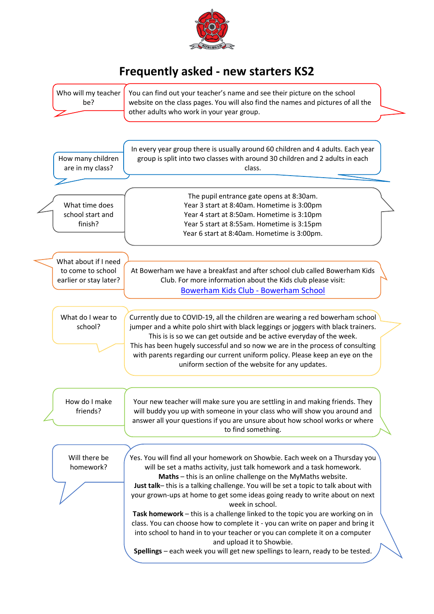

## **Frequently asked - new starters KS2**

| Who will my teacher<br>be?                                          | You can find out your teacher's name and see their picture on the school<br>website on the class pages. You will also find the names and pictures of all the<br>other adults who work in your year group.                                                                                                                                                                                                                                                                                                                                                                                                                                                                                                                                                                    |  |
|---------------------------------------------------------------------|------------------------------------------------------------------------------------------------------------------------------------------------------------------------------------------------------------------------------------------------------------------------------------------------------------------------------------------------------------------------------------------------------------------------------------------------------------------------------------------------------------------------------------------------------------------------------------------------------------------------------------------------------------------------------------------------------------------------------------------------------------------------------|--|
| How many children<br>are in my class?                               | In every year group there is usually around 60 children and 4 adults. Each year<br>group is split into two classes with around 30 children and 2 adults in each<br>class.                                                                                                                                                                                                                                                                                                                                                                                                                                                                                                                                                                                                    |  |
| What time does<br>school start and<br>finish?                       | The pupil entrance gate opens at 8:30am.<br>Year 3 start at 8:40am. Hometime is 3:00pm<br>Year 4 start at 8:50am. Hometime is 3:10pm<br>Year 5 start at 8:55am. Hometime is 3:15pm<br>Year 6 start at 8:40am. Hometime is 3:00pm.                                                                                                                                                                                                                                                                                                                                                                                                                                                                                                                                            |  |
| What about if I need<br>to come to school<br>earlier or stay later? | At Bowerham we have a breakfast and after school club called Bowerham Kids<br>Club. For more information about the Kids club please visit:<br>Bowerham Kids Club - Bowerham School                                                                                                                                                                                                                                                                                                                                                                                                                                                                                                                                                                                           |  |
| What do I wear to<br>school?                                        | Currently due to COVID-19, all the children are wearing a red bowerham school<br>jumper and a white polo shirt with black leggings or joggers with black trainers.<br>This is is so we can get outside and be active everyday of the week.<br>This has been hugely successful and so now we are in the process of consulting<br>with parents regarding our current uniform policy. Please keep an eye on the<br>uniform section of the website for any updates.                                                                                                                                                                                                                                                                                                              |  |
| How do I make<br>friends?                                           | Your new teacher will make sure you are settling in and making friends. They<br>will buddy you up with someone in your class who will show you around and<br>answer all your questions if you are unsure about how school works or where<br>to find something.                                                                                                                                                                                                                                                                                                                                                                                                                                                                                                               |  |
| Will there be<br>homework?                                          | Yes. You will find all your homework on Showbie. Each week on a Thursday you<br>will be set a maths activity, just talk homework and a task homework.<br>Maths - this is an online challenge on the MyMaths website.<br>Just talk-this is a talking challenge. You will be set a topic to talk about with<br>your grown-ups at home to get some ideas going ready to write about on next<br>week in school.<br>Task homework - this is a challenge linked to the topic you are working on in<br>class. You can choose how to complete it - you can write on paper and bring it<br>into school to hand in to your teacher or you can complete it on a computer<br>and upload it to Showbie.<br>Spellings - each week you will get new spellings to learn, ready to be tested. |  |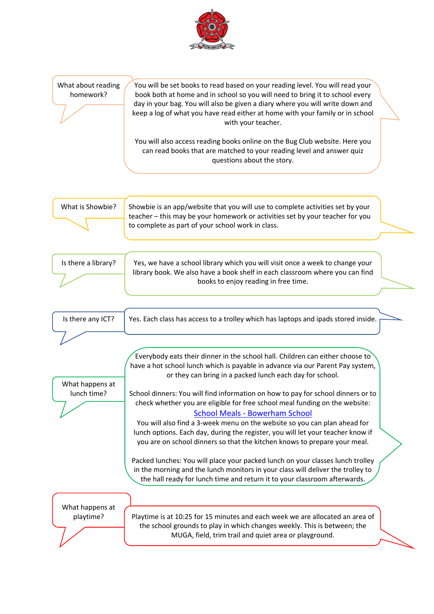

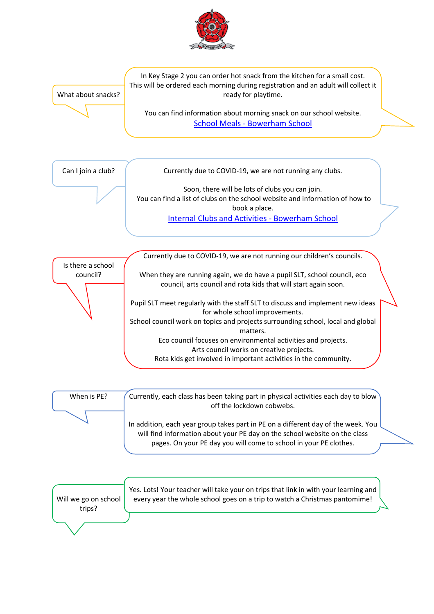

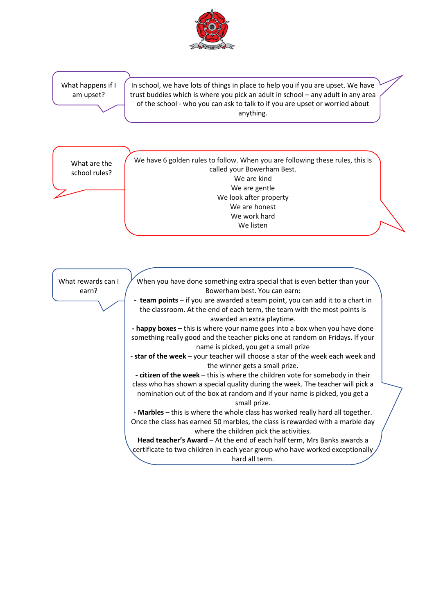

What happens if I am upset?

In school, we have lots of things in place to help you if you are upset. We have trust buddies which is where you pick an adult in school – any adult in any area of the school - who you can ask to talk to if you are upset or worried about anything.

What are the school rules? We have 6 golden rules to follow. When you are following these rules, this is called your Bowerham Best. We are kind We are gentle We look after property We are honest We work hard We listen

What rewards can I earn?



When you have done something extra special that is even better than your

hard all term.